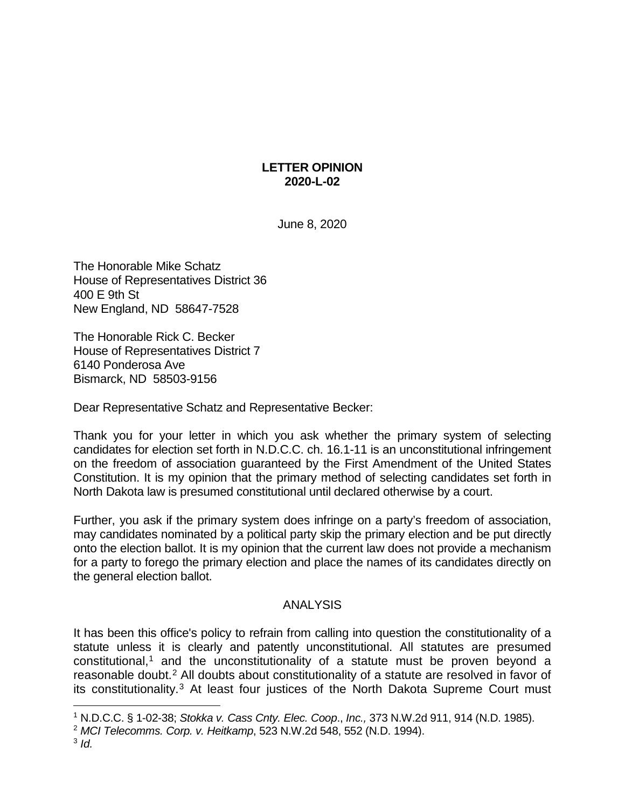## **LETTER OPINION 2020-L-02**

June 8, 2020

The Honorable Mike Schatz House of Representatives District 36 400 E 9th St New England, ND 58647-7528

The Honorable Rick C. Becker House of Representatives District 7 6140 Ponderosa Ave Bismarck, ND 58503-9156

Dear Representative Schatz and Representative Becker:

Thank you for your letter in which you ask whether the primary system of selecting candidates for election set forth in N.D.C.C. ch. 16.1-11 is an unconstitutional infringement on the freedom of association guaranteed by the First Amendment of the United States Constitution. It is my opinion that the primary method of selecting candidates set forth in North Dakota law is presumed constitutional until declared otherwise by a court.

Further, you ask if the primary system does infringe on a party's freedom of association, may candidates nominated by a political party skip the primary election and be put directly onto the election ballot. It is my opinion that the current law does not provide a mechanism for a party to forego the primary election and place the names of its candidates directly on the general election ballot.

## ANALYSIS

It has been this office's policy to refrain from calling into question the constitutionality of a statute unless it is clearly and patently unconstitutional. All statutes are presumed constitutional, [1](#page-0-0) and the unconstitutionality of a statute must be proven beyond a reasonable doubt.[2](#page-0-1) All doubts about constitutionality of a statute are resolved in favor of its constitutionality.[3](#page-0-2) At least four justices of the North Dakota Supreme Court must

<span id="page-0-0"></span> <sup>1</sup> N.D.C.C. § 1-02-38; *Stokka v. Cass Cnty. Elec. Coop*., *Inc.,* 373 N.W.2d 911, 914 (N.D. 1985).

<span id="page-0-2"></span><span id="page-0-1"></span><sup>2</sup> *MCI Telecomms. Corp. v. Heitkamp*, 523 N.W.2d 548, 552 (N.D. 1994).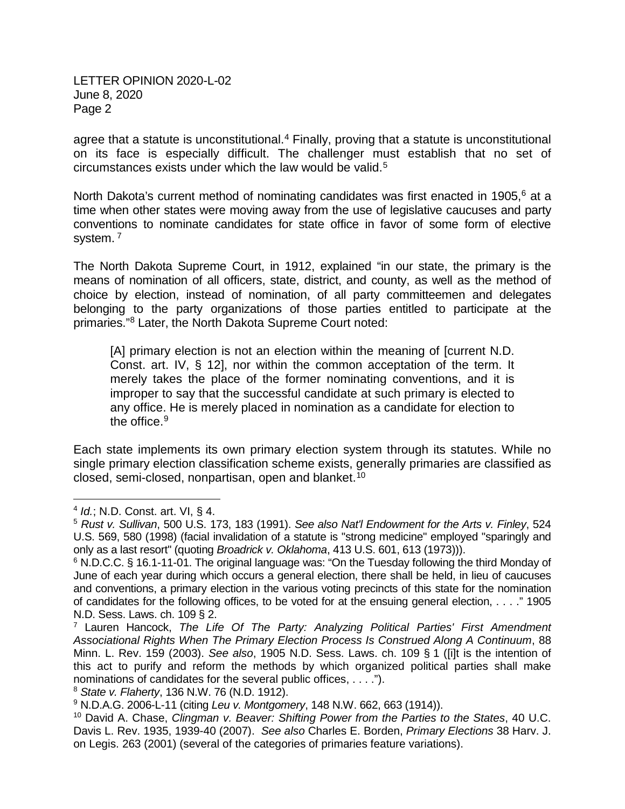agree that a statute is unconstitutional.<sup>[4](#page-1-0)</sup> Finally, proving that a statute is unconstitutional on its face is especially difficult. The challenger must establish that no set of circumstances exists under which the law would be valid.[5](#page-1-1)

North Dakota's current method of nominating candidates was first enacted in 1905,<sup>[6](#page-1-2)</sup> at a time when other states were moving away from the use of legislative caucuses and party conventions to nominate candidates for state office in favor of some form of elective system.<sup>[7](#page-1-3)</sup>

The North Dakota Supreme Court, in 1912, explained "in our state, the primary is the means of nomination of all officers, state, district, and county, as well as the method of choice by election, instead of nomination, of all party committeemen and delegates belonging to the party organizations of those parties entitled to participate at the primaries."[8](#page-1-4) Later, the North Dakota Supreme Court noted:

[A] primary election is not an election within the meaning of [current N.D. Const. art. IV, § 12], nor within the common acceptation of the term. It merely takes the place of the former nominating conventions, and it is improper to say that the successful candidate at such primary is elected to any office. He is merely placed in nomination as a candidate for election to the office.<sup>[9](#page-1-5)</sup>

Each state implements its own primary election system through its statutes. While no single primary election classification scheme exists, generally primaries are classified as closed, semi-closed, nonpartisan, open and blanket. [10](#page-1-6)

<span id="page-1-0"></span> <sup>4</sup> *Id.*; N.D. Const. art. VI, § 4.

<span id="page-1-1"></span><sup>5</sup> *Rust v. Sullivan*, 500 U.S. 173, 183 (1991). *See also Nat'l Endowment for the Arts v. Finley*, 524 U.S. 569, 580 (1998) (facial invalidation of a statute is "strong medicine" employed "sparingly and only as a last resort" (quoting *Broadrick v. Oklahoma*, 413 U.S. 601, 613 (1973))).

<span id="page-1-2"></span><sup>&</sup>lt;sup>6</sup> N.D.C.C. § 16.1-11-01. The original language was: "On the Tuesday following the third Monday of June of each year during which occurs a general election, there shall be held, in lieu of caucuses and conventions, a primary election in the various voting precincts of this state for the nomination of candidates for the following offices, to be voted for at the ensuing general election, . . . ." 1905 N.D. Sess. Laws. ch. 109 § 2.

<span id="page-1-3"></span><sup>7</sup> Lauren Hancock, *The Life Of The Party: Analyzing Political Parties' First Amendment Associational Rights When The Primary Election Process Is Construed Along A Continuum*, 88 Minn. L. Rev. 159 (2003). *See also*, 1905 N.D. Sess. Laws. ch. 109 § 1 ([i]t is the intention of this act to purify and reform the methods by which organized political parties shall make nominations of candidates for the several public offices, . . . .").

<span id="page-1-4"></span><sup>8</sup> *State v. Flaherty*, 136 N.W. 76 (N.D. 1912).

<span id="page-1-5"></span><sup>9</sup> N.D.A.G. 2006-L-11 (citing *Leu v. Montgomery*, 148 N.W. 662, 663 (1914)).

<span id="page-1-6"></span><sup>10</sup> David A. Chase, *Clingman v. Beaver: Shifting Power from the Parties to the States*, 40 U.C. Davis L. Rev. 1935, 1939-40 (2007). *See also* Charles E. Borden, *Primary Elections* 38 Harv. J. on Legis. 263 (2001) (several of the categories of primaries feature variations).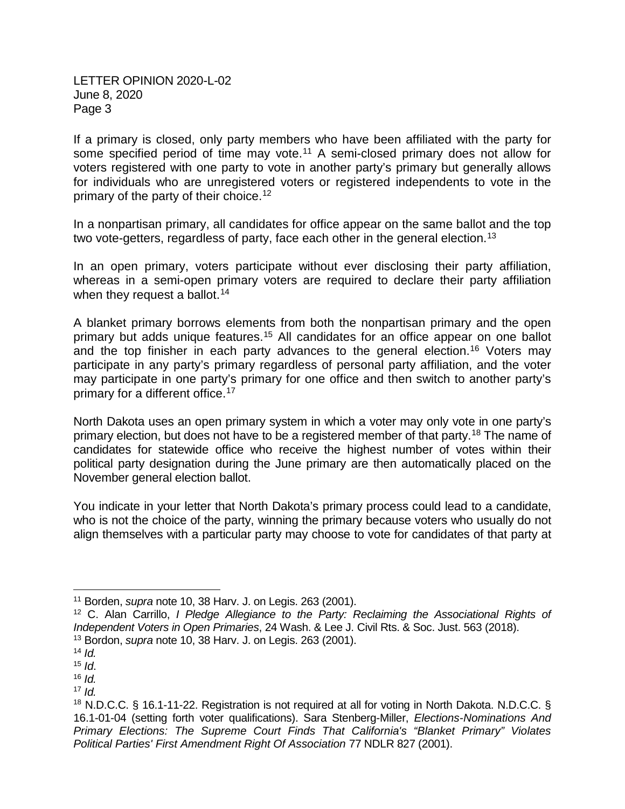If a primary is closed, only party members who have been affiliated with the party for some specified period of time may vote.<sup>[11](#page-2-0)</sup> A semi-closed primary does not allow for voters registered with one party to vote in another party's primary but generally allows for individuals who are unregistered voters or registered independents to vote in the primary of the party of their choice.[12](#page-2-1)

In a nonpartisan primary, all candidates for office appear on the same ballot and the top two vote-getters, regardless of party, face each other in the general election.<sup>[13](#page-2-2)</sup>

In an open primary, voters participate without ever disclosing their party affiliation, whereas in a semi-open primary voters are required to declare their party affiliation when they request a ballot.<sup>[14](#page-2-3)</sup>

A blanket primary borrows elements from both the nonpartisan primary and the open primary but adds unique features. [15](#page-2-4) All candidates for an office appear on one ballot and the top finisher in each party advances to the general election.<sup>[16](#page-2-5)</sup> Voters may participate in any party's primary regardless of personal party affiliation, and the voter may participate in one party's primary for one office and then switch to another party's primary for a different office.<sup>[17](#page-2-6)</sup>

North Dakota uses an open primary system in which a voter may only vote in one party's primary election, but does not have to be a registered member of that party.<sup>[18](#page-2-7)</sup> The name of candidates for statewide office who receive the highest number of votes within their political party designation during the June primary are then automatically placed on the November general election ballot.

You indicate in your letter that North Dakota's primary process could lead to a candidate, who is not the choice of the party, winning the primary because voters who usually do not align themselves with a particular party may choose to vote for candidates of that party at

<span id="page-2-0"></span> <sup>11</sup> Borden, *supra* note 10, 38 Harv. J. on Legis. 263 (2001).

<span id="page-2-1"></span><sup>12</sup> C. Alan Carrillo, *I Pledge Allegiance to the Party: Reclaiming the Associational Rights of Independent Voters in Open Primaries*, 24 Wash. & Lee J. Civil Rts. & Soc. Just. 563 (2018). <sup>13</sup> Bordon, *supra* note 10, 38 Harv. J. on Legis. 263 (2001).

<span id="page-2-3"></span><span id="page-2-2"></span> $14$  *Id.* 

<span id="page-2-4"></span> $15$  *Id.* 

<span id="page-2-5"></span><sup>16</sup> *Id.* 

<span id="page-2-6"></span> $17$  *Id.* 

<span id="page-2-7"></span><sup>&</sup>lt;sup>18</sup> N.D.C.C. § 16.1-11-22. Registration is not required at all for voting in North Dakota. N.D.C.C. § 16.1-01-04 (setting forth voter qualifications). Sara Stenberg-Miller, *Elections-Nominations And Primary Elections: The Supreme Court Finds That California's "Blanket Primary" Violates Political Parties' First Amendment Right Of Association* 77 NDLR 827 (2001).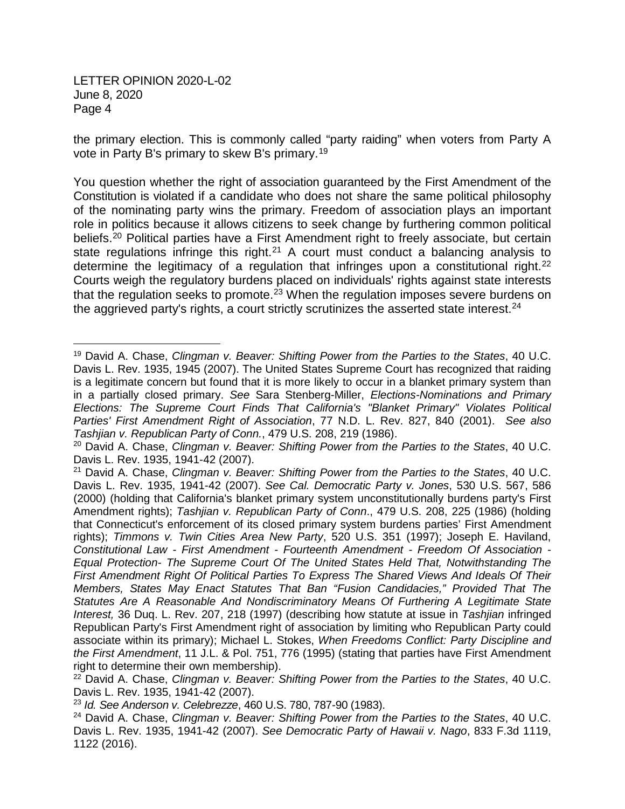the primary election. This is commonly called "party raiding" when voters from Party A vote in Party B's primary to skew B's primary.[19](#page-3-0)

You question whether the right of association guaranteed by the First Amendment of the Constitution is violated if a candidate who does not share the same political philosophy of the nominating party wins the primary. Freedom of association plays an important role in politics because it allows citizens to seek change by furthering common political beliefs.<sup>[20](#page-3-1)</sup> Political parties have a First Amendment right to freely associate, but certain state regulations infringe this right.<sup>[21](#page-3-2)</sup> A court must conduct a balancing analysis to determine the legitimacy of a regulation that infringes upon a constitutional right.<sup>[22](#page-3-3)</sup> Courts weigh the regulatory burdens placed on individuals' rights against state interests that the regulation seeks to promote.<sup>[23](#page-3-4)</sup> When the regulation imposes severe burdens on the aggrieved party's rights, a court strictly scrutinizes the asserted state interest.  $24$ 

<span id="page-3-0"></span> <sup>19</sup> David A. Chase, *Clingman v. Beaver: Shifting Power from the Parties to the States*, 40 U.C. Davis L. Rev. 1935, 1945 (2007). The United States Supreme Court has recognized that raiding is a legitimate concern but found that it is more likely to occur in a blanket primary system than in a partially closed primary. *See* Sara Stenberg-Miller, *Elections-Nominations and Primary Elections: The Supreme Court Finds That California's "Blanket Primary" Violates Political Parties' First Amendment Right of Association*, 77 N.D. L. Rev. 827, 840 (2001). *See also Tashjian v. Republican Party of Conn.*, 479 U.S. 208, 219 (1986).

<span id="page-3-1"></span><sup>20</sup> David A. Chase, *Clingman v. Beaver: Shifting Power from the Parties to the States*, 40 U.C. Davis L. Rev. 1935, 1941-42 (2007).

<span id="page-3-2"></span><sup>21</sup> David A. Chase, *Clingman v. Beaver: Shifting Power from the Parties to the States*, 40 U.C. Davis L. Rev. 1935, 1941-42 (2007). *See Cal. Democratic Party v. Jones*, 530 U.S. 567, 586 (2000) (holding that California's blanket primary system unconstitutionally burdens party's First Amendment rights); *Tashjian v. Republican Party of Conn*., 479 U.S. 208, 225 (1986) (holding that Connecticut's enforcement of its closed primary system burdens parties' First Amendment rights); *Timmons v. Twin Cities Area New Party*, 520 U.S. 351 (1997); Joseph E. Haviland, *Constitutional Law - First Amendment - Fourteenth Amendment - Freedom Of Association - Equal Protection- The Supreme Court Of The United States Held That, Notwithstanding The First Amendment Right Of Political Parties To Express The Shared Views And Ideals Of Their Members, States May Enact Statutes That Ban "Fusion Candidacies," Provided That The Statutes Are A Reasonable And Nondiscriminatory Means Of Furthering A Legitimate State Interest,* 36 Duq. L. Rev. 207, 218 (1997) (describing how statute at issue in *Tashjian* infringed Republican Party's First Amendment right of association by limiting who Republican Party could associate within its primary); Michael L. Stokes, *When Freedoms Conflict: Party Discipline and the First Amendment*, 11 J.L. & Pol. 751, 776 (1995) (stating that parties have First Amendment right to determine their own membership).

<span id="page-3-3"></span><sup>22</sup> David A. Chase, *Clingman v. Beaver: Shifting Power from the Parties to the States*, 40 U.C. Davis L. Rev. 1935, 1941-42 (2007).

<span id="page-3-4"></span><sup>23</sup> *Id. See Anderson v. Celebrezze*, 460 U.S. 780, 787-90 (1983).

<span id="page-3-5"></span><sup>24</sup> David A. Chase, *Clingman v. Beaver: Shifting Power from the Parties to the States*, 40 U.C. Davis L. Rev. 1935, 1941-42 (2007). *See Democratic Party of Hawaii v. Nago*, 833 F.3d 1119, 1122 (2016).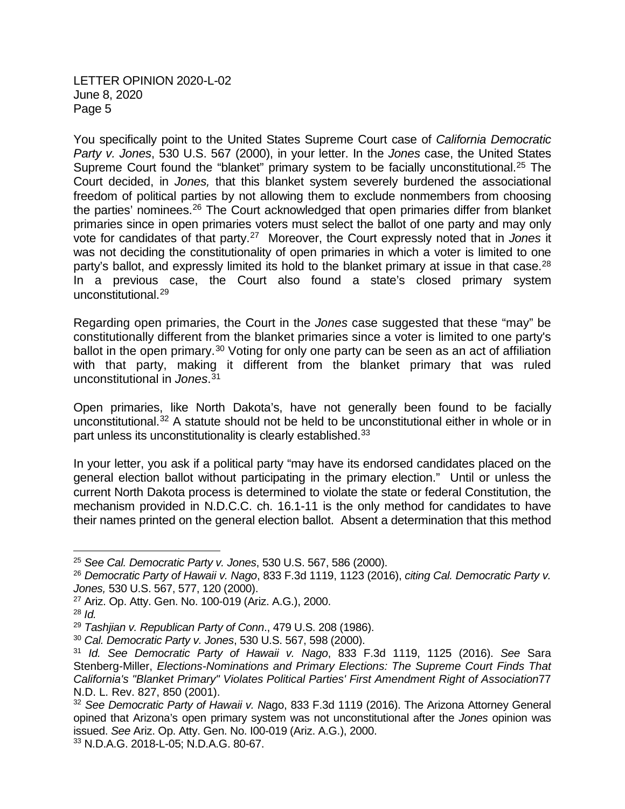You specifically point to the United States Supreme Court case of *California Democratic Party v. Jones*, 530 U.S. 567 (2000), in your letter. In the *Jones* case, the United States Supreme Court found the "blanket" primary system to be facially unconstitutional.<sup>[25](#page-4-0)</sup> The Court decided, in *Jones,* that this blanket system severely burdened the associational freedom of political parties by not allowing them to exclude nonmembers from choosing the parties' nominees.<sup>[26](#page-4-1)</sup> The Court acknowledged that open primaries differ from blanket primaries since in open primaries voters must select the ballot of one party and may only vote for candidates of that party.[27](#page-4-2) Moreover, the Court expressly noted that in *Jones* it was not deciding the constitutionality of open primaries in which a voter is limited to one party's ballot, and expressly limited its hold to the blanket primary at issue in that case.<sup>[28](#page-4-3)</sup> In a previous case, the Court also found a state's closed primary system unconstitutional.[29](#page-4-4)

Regarding open primaries, the Court in the *Jones* case suggested that these "may" be constitutionally different from the blanket primaries since a voter is limited to one party's ballot in the open primary.<sup>[30](#page-4-5)</sup> Voting for only one party can be seen as an act of affiliation with that party, making it different from the blanket primary that was ruled unconstitutional in *Jones*. [31](#page-4-6)

Open primaries, like North Dakota's, have not generally been found to be facially unconstitutional.[32](#page-4-7) A statute should not be held to be unconstitutional either in whole or in part unless its unconstitutionality is clearly established.<sup>[33](#page-4-8)</sup>

In your letter, you ask if a political party "may have its endorsed candidates placed on the general election ballot without participating in the primary election." Until or unless the current North Dakota process is determined to violate the state or federal Constitution, the mechanism provided in N.D.C.C. ch. 16.1-11 is the only method for candidates to have their names printed on the general election ballot. Absent a determination that this method

<span id="page-4-0"></span> <sup>25</sup> *See Cal. Democratic Party v. Jones*, 530 U.S. 567, 586 (2000).

<span id="page-4-1"></span><sup>26</sup> *Democratic Party of Hawaii v. Nago*, 833 F.3d 1119, 1123 (2016), *citing Cal. Democratic Party v. Jones,* 530 U.S. 567, 577, 120 (2000).

<span id="page-4-2"></span><sup>27</sup> Ariz. Op. Atty. Gen. No. 100-019 (Ariz. A.G.), 2000.

<span id="page-4-3"></span><sup>28</sup> *Id.*

<span id="page-4-4"></span><sup>29</sup> *Tashjian v. Republican Party of Conn*., 479 U.S. 208 (1986).

<span id="page-4-5"></span><sup>30</sup> *Cal. Democratic Party v. Jones*, 530 U.S. 567, 598 (2000).

<span id="page-4-6"></span><sup>31</sup> *Id. See Democratic Party of Hawaii v. Nago*, 833 F.3d 1119, 1125 (2016). *See* Sara Stenberg-Miller, *Elections-Nominations and Primary Elections: The Supreme Court Finds That California's "Blanket Primary" Violates Political Parties' First Amendment Right of Association*77 N.D. L. Rev. 827, 850 (2001).

<span id="page-4-7"></span><sup>32</sup> *See Democratic Party of Hawaii v. N*ago, 833 F.3d 1119 (2016). The Arizona Attorney General opined that Arizona's open primary system was not unconstitutional after the *Jones* opinion was issued. *See* Ariz. Op. Atty. Gen. No. I00-019 (Ariz. A.G.), 2000.

<span id="page-4-8"></span><sup>33</sup> N.D.A.G. 2018-L-05; N.D.A.G. 80-67.